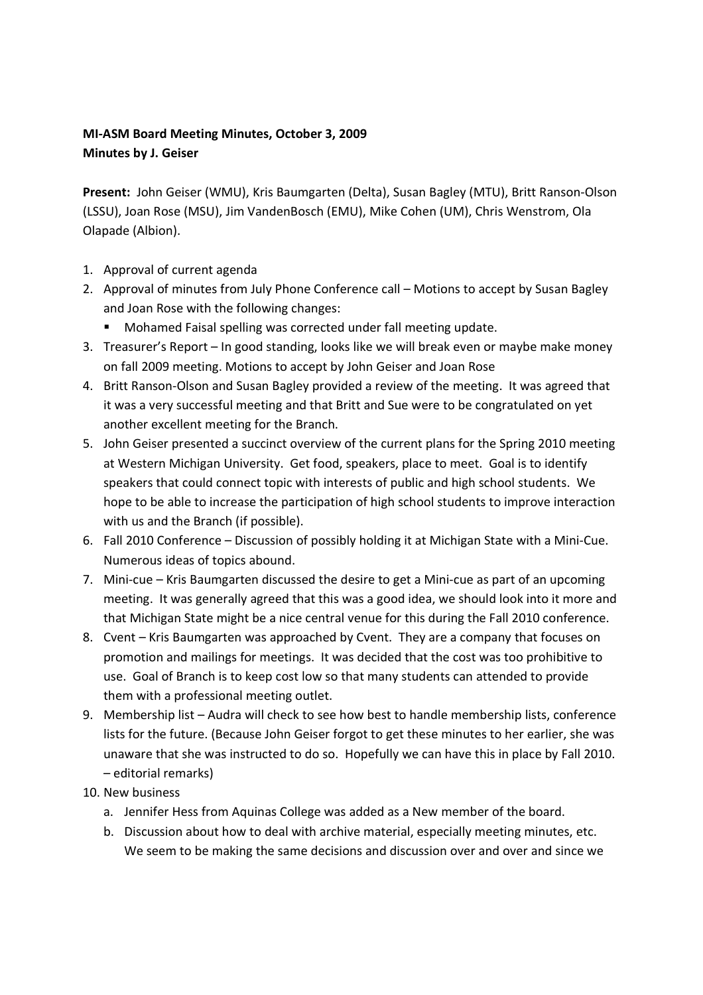## **MI-ASM Board Meeting Minutes, October 3, 2009 Minutes by J. Geiser**

**Present:** John Geiser (WMU), Kris Baumgarten (Delta), Susan Bagley (MTU), Britt Ranson-Olson (LSSU), Joan Rose (MSU), Jim VandenBosch (EMU), Mike Cohen (UM), Chris Wenstrom, Ola Olapade (Albion).

- 1. Approval of current agenda
- 2. Approval of minutes from July Phone Conference call Motions to accept by Susan Bagley and Joan Rose with the following changes:
	- Mohamed Faisal spelling was corrected under fall meeting update.
- 3. Treasurer's Report In good standing, looks like we will break even or maybe make money on fall 2009 meeting. Motions to accept by John Geiser and Joan Rose
- 4. Britt Ranson-Olson and Susan Bagley provided a review of the meeting. It was agreed that it was a very successful meeting and that Britt and Sue were to be congratulated on yet another excellent meeting for the Branch.
- 5. John Geiser presented a succinct overview of the current plans for the Spring 2010 meeting at Western Michigan University. Get food, speakers, place to meet. Goal is to identify speakers that could connect topic with interests of public and high school students. We hope to be able to increase the participation of high school students to improve interaction with us and the Branch (if possible).
- 6. Fall 2010 Conference Discussion of possibly holding it at Michigan State with a Mini-Cue. Numerous ideas of topics abound.
- 7. Mini-cue Kris Baumgarten discussed the desire to get a Mini-cue as part of an upcoming meeting. It was generally agreed that this was a good idea, we should look into it more and that Michigan State might be a nice central venue for this during the Fall 2010 conference.
- 8. Cvent Kris Baumgarten was approached by Cvent. They are a company that focuses on promotion and mailings for meetings. It was decided that the cost was too prohibitive to use. Goal of Branch is to keep cost low so that many students can attended to provide them with a professional meeting outlet.
- 9. Membership list Audra will check to see how best to handle membership lists, conference lists for the future. (Because John Geiser forgot to get these minutes to her earlier, she was unaware that she was instructed to do so. Hopefully we can have this in place by Fall 2010. – editorial remarks)
- 10. New business
	- a. Jennifer Hess from Aquinas College was added as a New member of the board.
	- b. Discussion about how to deal with archive material, especially meeting minutes, etc. We seem to be making the same decisions and discussion over and over and since we